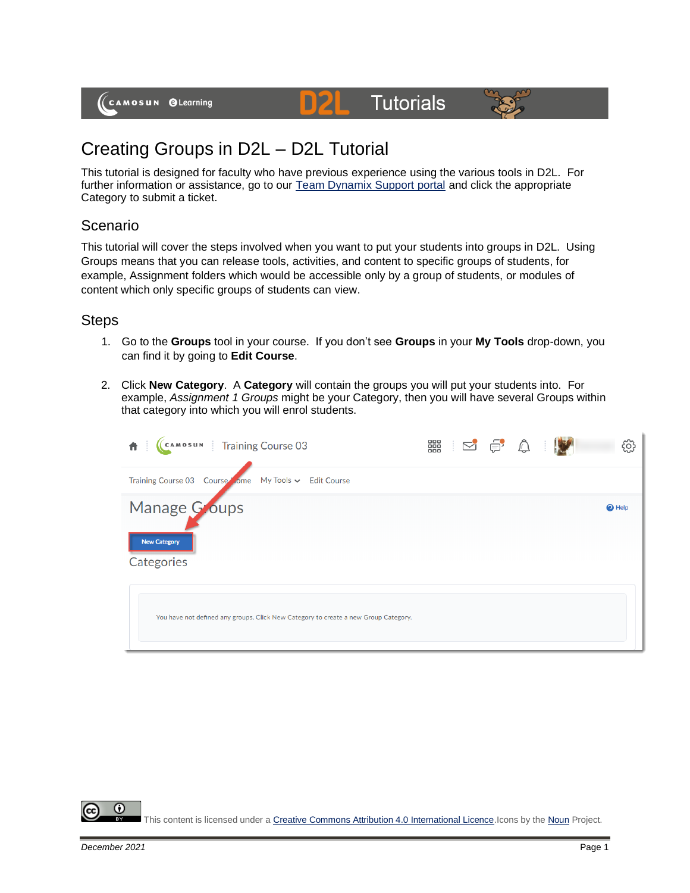(CAMOSUN @Learning

# **Tutorials**



# Creating Groups in D2L – D2L Tutorial

This tutorial is designed for faculty who have previous experience using the various tools in D2L. For further information or assistance, go to our [Team Dynamix Support portal](https://camosun.teamdynamix.com/TDClient/67/Portal/Requests/ServiceCatalog?CategoryID=523) and click the appropriate Category to submit a ticket.

DZ

### Scenario

This tutorial will cover the steps involved when you want to put your students into groups in D2L. Using Groups means that you can release tools, activities, and content to specific groups of students, for example, Assignment folders which would be accessible only by a group of students, or modules of content which only specific groups of students can view.

### **Steps**

- 1. Go to the **Groups** tool in your course. If you don't see **Groups** in your **My Tools** drop-down, you can find it by going to **Edit Course**.
- 2. Click **New Category**. A **Category** will contain the groups you will put your students into. For example, *Assignment 1 Groups* might be your Category, then you will have several Groups within that category into which you will enrol students.

| CAMOSUN Training Course 03                                                          | ■ ○ ● △ ○ |  | දිර}          |
|-------------------------------------------------------------------------------------|-----------|--|---------------|
| Training Course 03 Course ome My Tools v Edit Course                                |           |  |               |
| Manage Goups<br><b>New Category</b><br>Categories                                   |           |  | <b>O</b> Help |
| You have not defined any groups. Click New Category to create a new Group Category. |           |  |               |

 $\odot$ This content is licensed under [a Creative Commons Attribution 4.0 International Licence.I](https://creativecommons.org/licenses/by/4.0/)cons by th[e Noun](https://creativecommons.org/website-icons/) Project.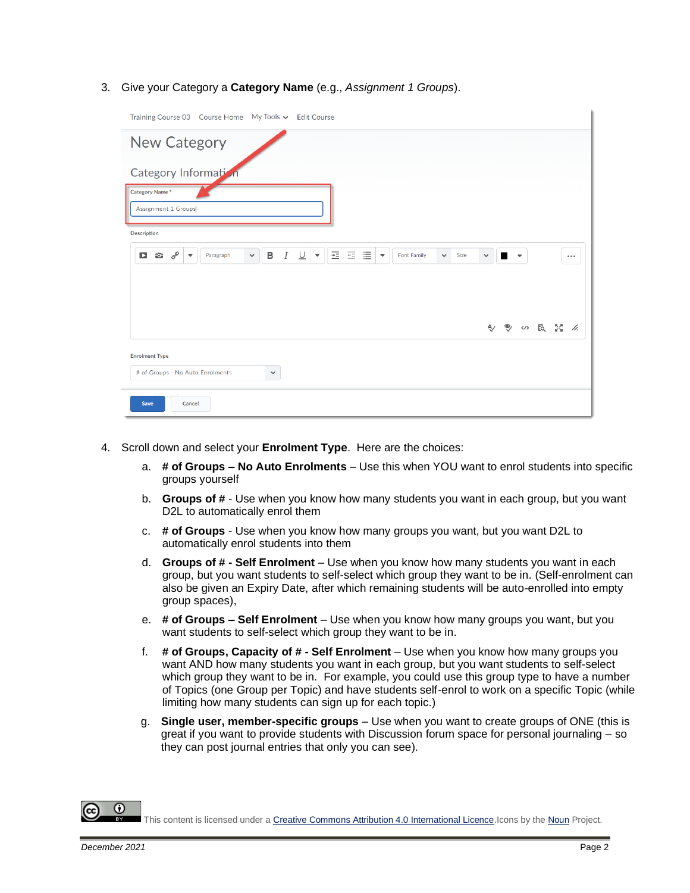#### 3. Give your Category a **Category Name** (e.g., *Assignment 1 Groups*).

| Training Course 03    Course Home    My Tools v    Edit Course                                                                                                                                                          |              |   |                      |           |       |
|-------------------------------------------------------------------------------------------------------------------------------------------------------------------------------------------------------------------------|--------------|---|----------------------|-----------|-------|
| New Category                                                                                                                                                                                                            |              |   |                      |           |       |
| Category Information                                                                                                                                                                                                    |              |   |                      |           |       |
| Category Name*<br><b>Assignment 1 Groups</b>                                                                                                                                                                            |              |   |                      |           |       |
| <b>Description</b>                                                                                                                                                                                                      |              |   |                      |           |       |
| 医细胞<br>$\Box$ $\hat{\alpha}$ $\delta^{\circ}$<br>$I \perp$<br>В<br>$\overline{\phantom{a}}$<br>Font Family<br>Size<br>Paragraph<br>$\checkmark$<br>$\overline{\phantom{a}}$<br>$\checkmark$<br>$\overline{\phantom{a}}$ | $\checkmark$ | ٠ | $\blacktriangledown$ |           | 0.0.0 |
|                                                                                                                                                                                                                         | Ą,           |   |                      | ● ∽ 园 器 ∥ |       |
| <b>Enrolment Type</b><br># of Groups - No Auto Enrolments<br>$\checkmark$                                                                                                                                               |              |   |                      |           |       |
| Save<br>Cancel                                                                                                                                                                                                          |              |   |                      |           |       |

- 4. Scroll down and select your **Enrolment Type**. Here are the choices:
	- a. **# of Groups – No Auto Enrolments** Use this when YOU want to enrol students into specific groups yourself
	- b. **Groups of #** Use when you know how many students you want in each group, but you want D<sub>2</sub>L to automatically enrol them
	- c. **# of Groups** Use when you know how many groups you want, but you want D2L to automatically enrol students into them
	- d. **Groups of # - Self Enrolment** Use when you know how many students you want in each group, but you want students to self-select which group they want to be in. (Self-enrolment can also be given an Expiry Date, after which remaining students will be auto-enrolled into empty group spaces),
	- e. **# of Groups – Self Enrolment** Use when you know how many groups you want, but you want students to self-select which group they want to be in.
	- f. **# of Groups, Capacity of # - Self Enrolment** Use when you know how many groups you want AND how many students you want in each group, but you want students to self-select which group they want to be in. For example, you could use this group type to have a number of Topics (one Group per Topic) and have students self-enrol to work on a specific Topic (while limiting how many students can sign up for each topic.)
	- g. **Single user, member-specific groups** Use when you want to create groups of ONE (this is great if you want to provide students with Discussion forum space for personal journaling – so they can post journal entries that only you can see).

This content is licensed under [a Creative Commons Attribution 4.0 International Licence.I](https://creativecommons.org/licenses/by/4.0/)cons by th[e Noun](https://creativecommons.org/website-icons/) Project.

 $\left( \cdot \right)$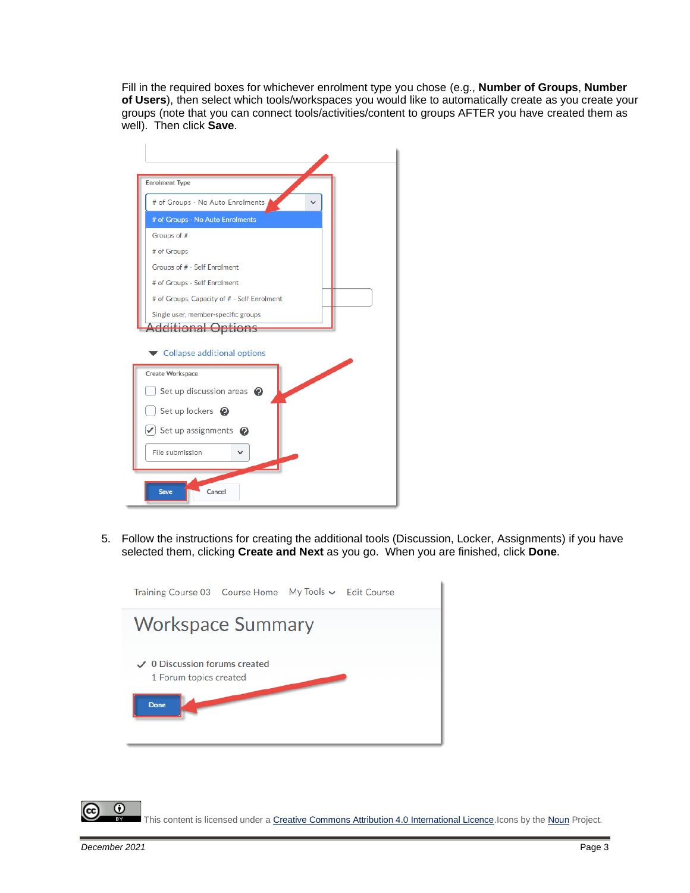Fill in the required boxes for whichever enrolment type you chose (e.g., **Number of Groups**, **Number of Users**), then select which tools/workspaces you would like to automatically create as you create your groups (note that you can connect tools/activities/content to groups AFTER you have created them as well). Then click **Save**.

| <b>Enrolment Type</b>                             |
|---------------------------------------------------|
| # of Groups - No Auto Enrolments                  |
| # of Groups - No Auto Enrolments                  |
| Groups of #                                       |
| # of Groups                                       |
| Groups of # - Self Enrolment                      |
| # of Groups - Self Enrolment                      |
| # of Groups, Capacity of # - Self Enrolment       |
| Single user, member-specific groups<br>ditions    |
| Collapse additional options                       |
| Í<br>Create Workspace                             |
| Set up discussion areas $\bullet$                 |
| Set up lockers <sup>2</sup>                       |
| $\blacktriangleright$ Set up assignments $\Theta$ |
| File submission                                   |
| Cancel<br><b>Save</b>                             |

5. Follow the instructions for creating the additional tools (Discussion, Locker, Assignments) if you have selected them, clicking **Create and Next** as you go. When you are finished, click **Done**.



 $\odot$ This content is licensed under [a Creative Commons Attribution 4.0 International Licence.I](https://creativecommons.org/licenses/by/4.0/)cons by th[e Noun](https://creativecommons.org/website-icons/) Project.